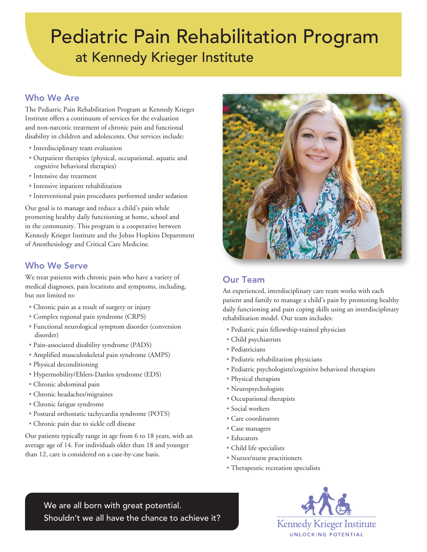# Pediatric Pain Rehabilitation Program at Kennedy Krieger Institute

## Who We Are

The Pediatric Pain Rehabilitation Program at Kennedy Krieger Institute offers a continuum of services for the evaluation and non-narcotic treatment of chronic pain and functional disability in children and adolescents. Our services include:

- Interdisciplinary team evaluation
- Outpatient therapies (physical, occupational, aquatic and cognitive behavioral therapies)
- Intensive day treatment
- Intensive inpatient rehabilitation
- Interventional pain procedures performed under sedation

Our goal is to manage and reduce a child's pain while promoting healthy daily functioning at home, school and in the community. This program is a cooperative between Kennedy Krieger Institute and the Johns Hopkins Department of Anesthesiology and Critical Care Medicine.

## Who We Serve

We treat patients with chronic pain who have a variety of medical diagnoses, pain locations and symptoms, including, but not limited to:

- Chronic pain as a result of surgery or injury
- Complex regional pain syndrome (CRPS)
- Functional neurological symptom disorder (conversion disorder)
- Pain-associated disability syndrome (PADS)
- Amplified musculoskeletal pain syndrome (AMPS)
- Physical deconditioning
- Hypermobility/Ehlers-Danlos syndrome (EDS)
- Chronic abdominal pain
- Chronic headaches/migraines
- Chronic fatigue syndrome
- Postural orthostatic tachycardia syndrome (POTS)
- Chronic pain due to sickle cell disease

Our patients typically range in age from 6 to 18 years, with an average age of 14. For individuals older than 18 and younger than 12, care is considered on a case-by-case basis.



# Our Team

An experienced, interdisciplinary care team works with each patient and family to manage a child's pain by promoting healthy daily functioning and pain coping skills using an interdisciplinary rehabilitation model. Our team includes:

- Pediatric pain fellowship-trained physician
- Child psychiatrists
- Pediatricians
- Pediatric rehabilitation physicians
- Pediatric psychologists/cognitive behavioral therapists
- Physical therapists
- Neuropsychologists
- Occupational therapists
- Social workers
- Care coordinators
- Case managers
- Educators
- Child life specialists
- Nurses/nurse practitioners
- Therapeutic recreation specialists

We are all born with great potential. Shouldn't we all have the chance to achieve it?